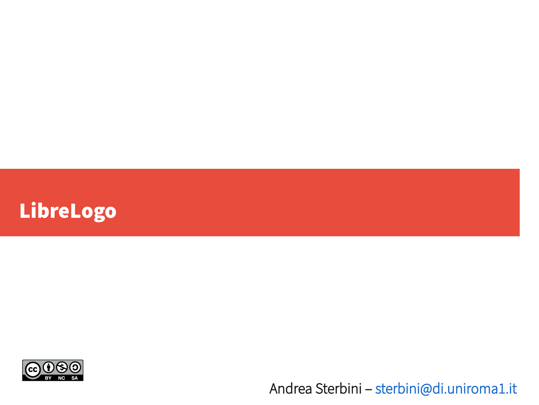



Andrea Sterbini – [sterbini@di.uniroma1.it](mailto:sterbini@di.uniroma1.it)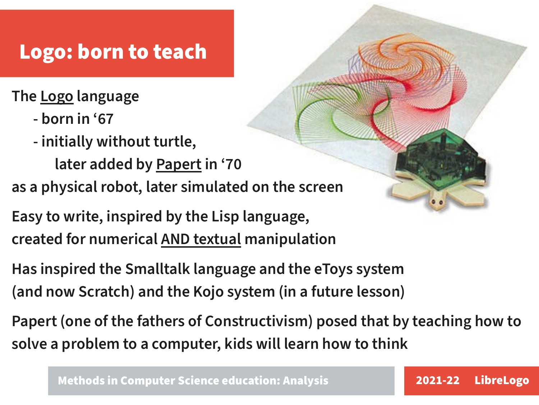#### Logo: born to teach

The Logo language

- born in '67
- initially without turtle,

later added by Papert in '70

as a physical robot, later simulated on the screen

Easy to write, inspired by the Lisp language, created for numerical AND textual manipulation

Has inspired the Smalltalk language and the eToys system (and now Scratch) and the Kojo system (in a future lesson)

Papert (one of the fathers of Constructivism) posed that by teaching how to solve a problem to a computer, kids will learn how to think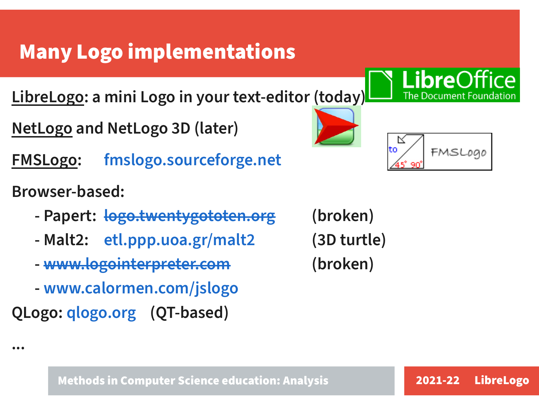## Many Logo implementations

LibreLogo: a mini Logo in your text-editor (today)

- NetLogo and NetLogo 3D (later)
- FMSLogo: [fmslogo.sourceforge.net](http://fmslogo.sourceforge.net/)
- Browser-based:

...

- Papert: <del>[logo.twentygototen.org](http://logo.twentygototen.org/)</del> (broken)
- Malt2: [etl.ppp.uoa.gr/malt2](http://etl.ppp.uoa.gr/malt2) (3D turtle)
- - [www.logointerpreter.com](http://www.logointerpreter.com/) (broken)
- [www.calormen.com/jslogo](https://www.calormen.com/jslogo)
- QLogo: [qlogo.org](http://qlogo.org/) (QT-based)



**Libre**C

The Document F

∼∼

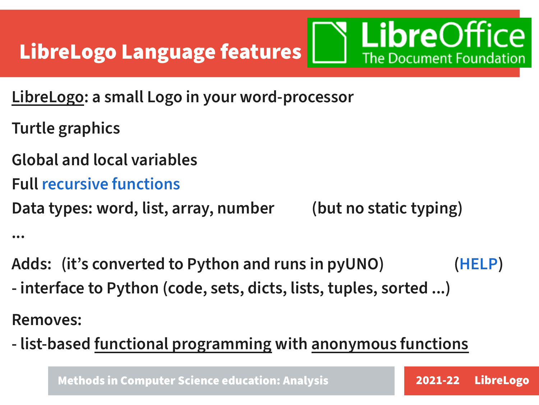

- LibreLogo: a small Logo in your word-processor
- Turtle graphics
- Global and local variables
- Full [recursive functions](fibonacci-factorial.odt)

Data types: word, list, array, number (but no static typing)

...

- Adds: (it's converted to Python and runs in pyUNO) ([HELP](https://help.libreoffice.org/7.3/en-US/text/swriter/librelogo/LibreLogo.html))
- interface to Python (code, sets, dicts, lists, tuples, sorted ...)

Removes:

- list-based functional programming with anonymous functions

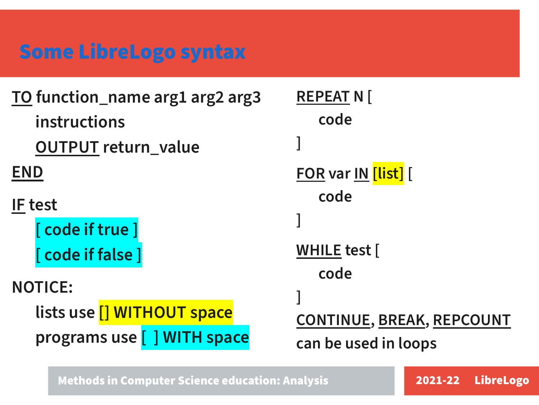## [Some LibreLogo syntax](https://help.libreoffice.org/7.3/en-US/text/swriter/librelogo/LibreLogo.html)

| TO function_name arg1 arg2 arg3 | RFP |
|---------------------------------|-----|
| instructions                    |     |
| <b>OUTPUT return_value</b>      |     |
| <b>END</b>                      |     |
| <b>IF test</b>                  |     |
| [ code if true ]                |     |
| [ code if false ]               | WН  |
| <b>NOTICE:</b>                  |     |
|                                 |     |
| lists use [] WITHOUT space      |     |
| programs use [ ] WITH space     | can |
|                                 |     |

**EAT N [** code <u>?</u> var <u>IN</u> [<mark>list]</mark> [ code ILE test [ code <u>NTINUE, BREAK, REPCOUNT</u> be used in loops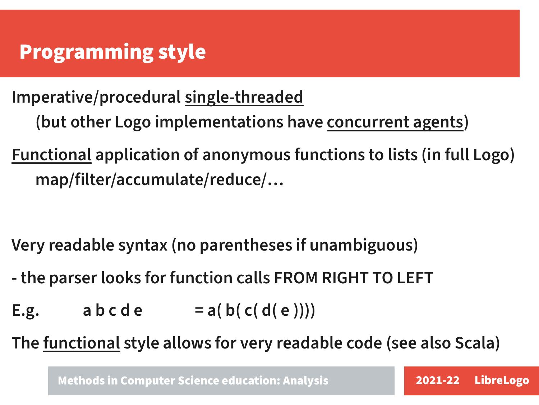## Programming style

Imperative/procedural single-threaded (but other Logo implementations have concurrent agents)

Functional application of anonymous functions to lists (in full Logo) map/filter/accumulate/reduce/…

Very readable syntax (no parentheses if unambiguous)

- the parser looks for function calls FROM RIGHT TO LEFT
- E.g.  $a \ b \ c \ d \ e = a(b(c(d(e))))$

The functional style allows for very readable code (see also Scala)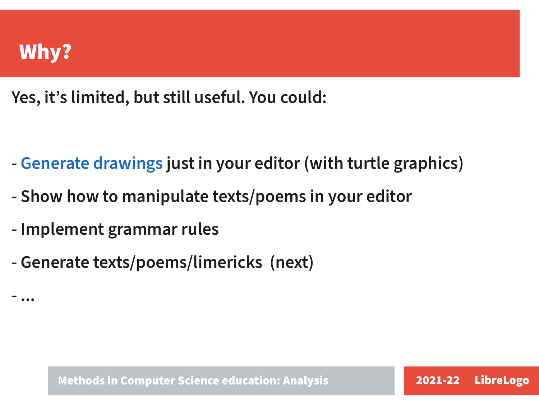

- ...

Yes, it's limited, but still useful. You could:

- [Generate drawings](matita.odt) just in your editor (with turtle graphics)
- Show how to manipulate texts/poems in your editor
- Implement grammar rules
- Generate texts/poems/limericks (next)

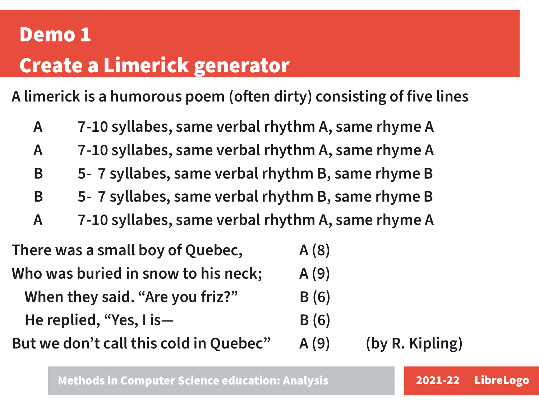# Demo 1 Create a Limerick generator

A [limerick](https://en.wikipedia.org/wiki/Limerick_(poetry)) is a humorous poem (often dirty) consisting of five lines

A 7-10 syllabes, same verbal rhythm A, same rhyme A A 7-10 syllabes, same verbal rhythm A, same rhyme A B 5- 7 syllabes, same verbal rhythm B, same rhyme B B 5- 7 syllabes, same verbal rhythm B, same rhyme B A 7-10 syllabes, same verbal rhythm A, same rhyme A

| There was a small boy of Quebec,       | A(8) |                 |
|----------------------------------------|------|-----------------|
| Who was buried in snow to his neck;    | A(9) |                 |
| When they said. "Are you friz?"        | B(6) |                 |
| He replied, "Yes, $\mathsf{I}$ is -    | B(6) |                 |
| But we don't call this cold in Quebec" | A(9) | (by R. Kipling) |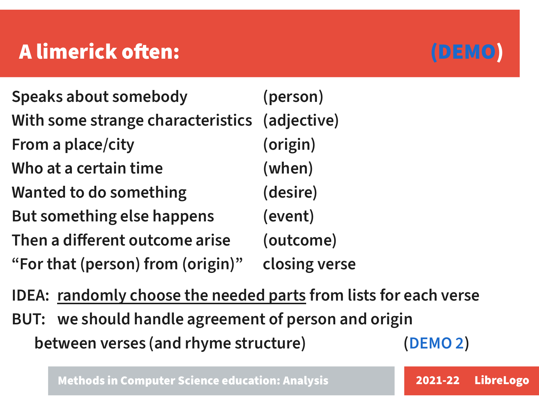## A limerick often: [\(DEMO](limerick.odt))



IDEA: randomly choose the needed parts from lists for each verse

BUT: we should handle agreement of person and origin between verses (and rhyme structure) ([DEMO 2](limerick-2.odt))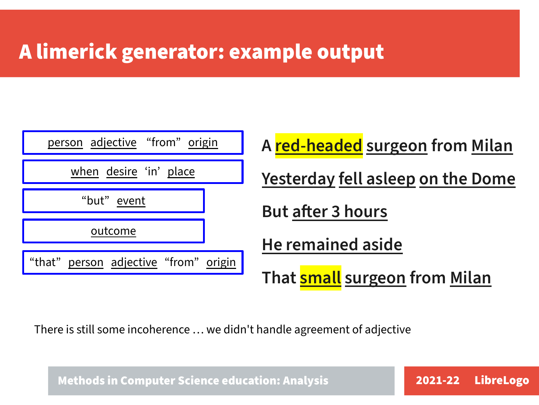### A limerick generator: example output



There is still some incoherence … we didn't handle agreement of adjective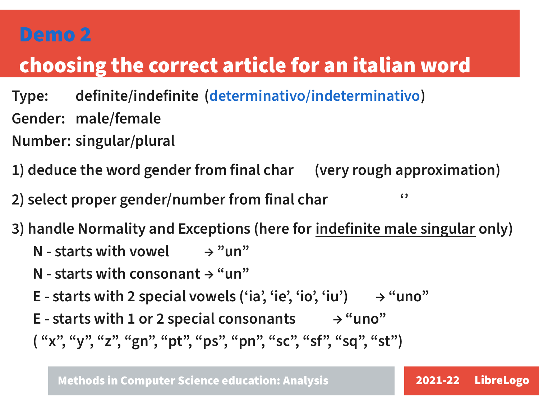#### [Demo 2](articolo.odt)

## choosing the correct article for an italian word

- Type: definite/indefinite ([determinativo/indeterminativo](https://it.wikipedia.org/wiki/Articolo_(linguistica)#Articoli_determinativi)) Gender: male/female
- Number: singular/plural
- 1) deduce the word gender from final char (very rough approximation)
- 2) select proper gender/number from final char  $\cdot$
- 3) handle Normality and Exceptions (here for indefinite male singular only)
	- N starts with vowel  $\rightarrow$  "un"
	- N starts with consonant  $\rightarrow$  "un"
	- E starts with 2 special vowels ('ia', 'ie', 'io', 'iu')  $\rightarrow$  "uno"
	- E starts with 1 or 2 special consonants  $\rightarrow$  "uno"
	- ( "x", "y", "z", "gn", "pt", "ps", "pn", "sc", "sf", "sq", "st")